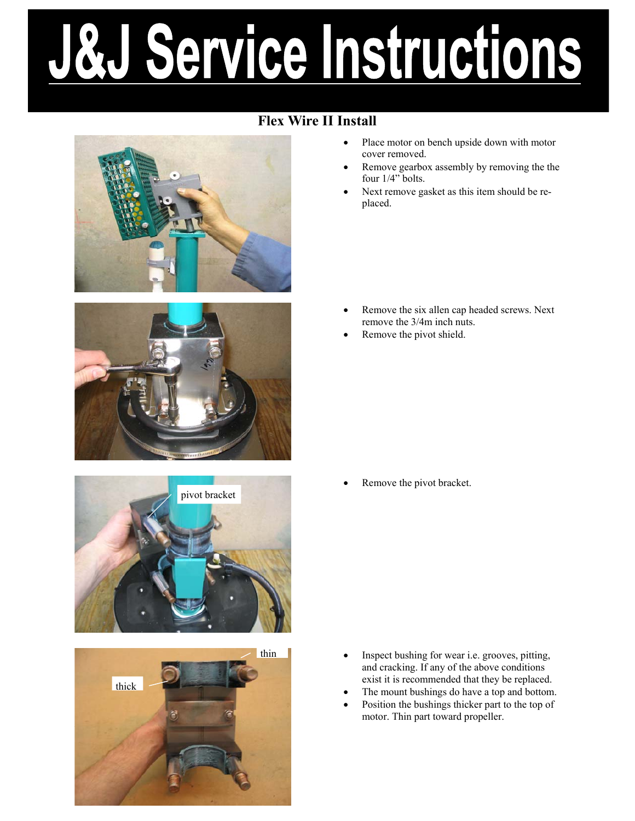# Service Instructions Ö.J

## **Flex Wire II Install**









- Place motor on bench upside down with motor cover removed.
- Remove gearbox assembly by removing the the four 1/4" bolts.
- Next remove gasket as this item should be replaced.

- Remove the six allen cap headed screws. Next remove the 3/4m inch nuts.
- Remove the pivot shield.

Remove the pivot bracket.

- Inspect bushing for wear i.e. grooves, pitting, and cracking. If any of the above conditions exist it is recommended that they be replaced.
- The mount bushings do have a top and bottom.
- Position the bushings thicker part to the top of motor. Thin part toward propeller.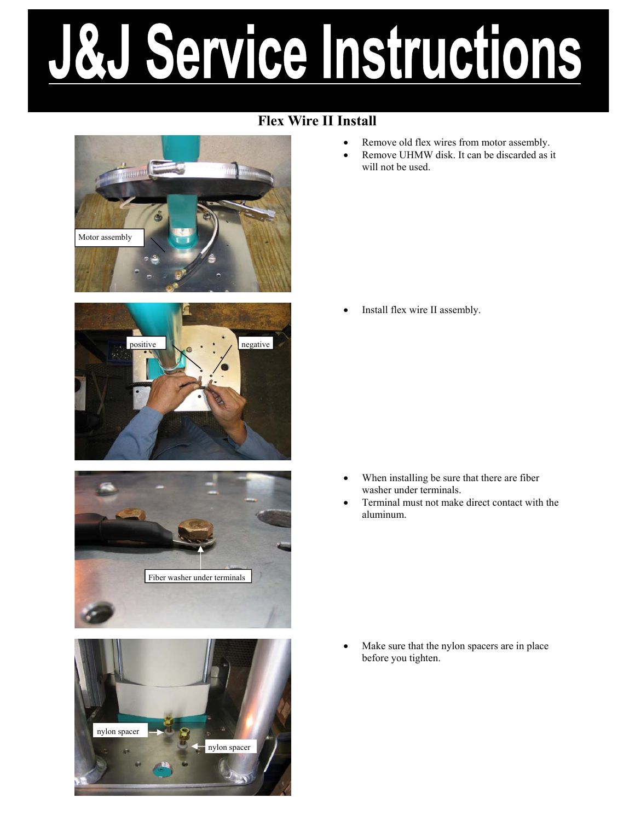# Service Instructions Ö.J

### **Flex Wire II Install**

Motor assembly







- Remove old flex wires from motor assembly.
- Remove UHMW disk. It can be discarded as it will not be used.

Install flex wire II assembly.

- When installing be sure that there are fiber washer under terminals.
- Terminal must not make direct contact with the aluminum.

Make sure that the nylon spacers are in place before you tighten.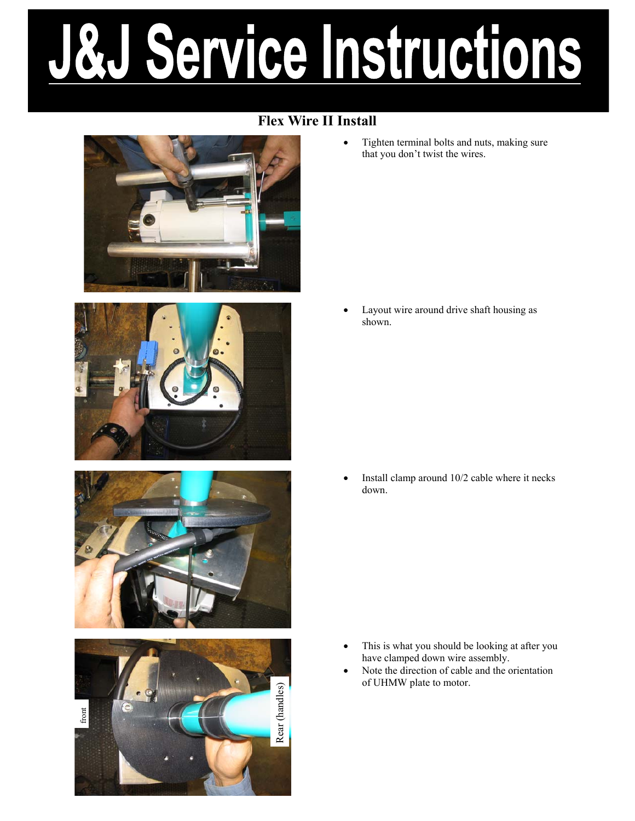# Service Instructions

### **Flex Wire II Install**









• Tighten terminal bolts and nuts, making sure that you don't twist the wires.

Layout wire around drive shaft housing as shown.

• Install clamp around 10/2 cable where it necks down.

- This is what you should be looking at after you have clamped down wire assembly.
- Note the direction of cable and the orientation of UHMW plate to motor.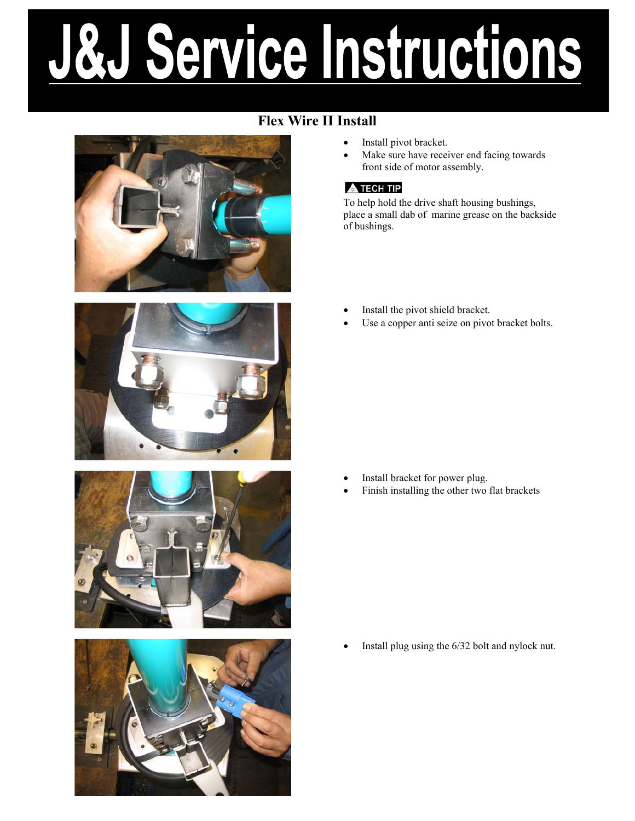# Service Instructions &J

## **Flex Wire II Install**









- Install pivot bracket.
- Make sure have receiver end facing towards front side of motor assembly.

#### **A TECH TIP**

To help hold the drive shaft housing bushings, place a small dab of marine grease on the backside of bushings.

- Install the pivot shield bracket.
- Use a copper anti seize on pivot bracket bolts.

- Install bracket for power plug.
- Finish installing the other two flat brackets

Install plug using the  $6/32$  bolt and nylock nut.